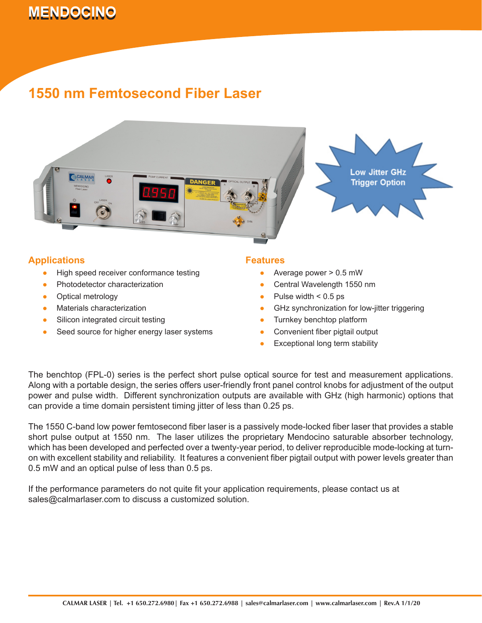# **MENDOCINO 1550 nm Femtosecond Fiber Laser Canadian Canadian Canadian Canadian Canadian Canadian Canadian Canadian Canadian Canadian Canadian Canadian Canadian Canadian Canadian Canadian Canadian Canadian Canadian Canadi**

## **1550 nm Femtosecond Fiber Laser**



### **Applications**

- High speed receiver conformance testing ●
- Photodetector characterization ●
- Optical metrology ●
- Materials characterization ●
- Silicon integrated circuit testing ●
- Seed source for higher energy laser systems ●

#### **Features**

- Average power > 0.5 mW ●
- Central Wavelength 1550 nm ●
- Pulse width  $< 0.5$  ps ●
- GHz synchronization for low-jitter triggering ●
- Turnkey benchtop platform ●
- Convenient fiber pigtail output ●
- Exceptional long term stability ●

The benchtop (FPL-0) series is the perfect short pulse optical source for test and measurement applications. Along with a portable design, the series offers user-friendly front panel control knobs for adjustment of the output power and pulse width. Different synchronization outputs are available with GHz (high harmonic) options that can provide a time domain persistent timing jitter of less than 0.25 ps.

The 1550 C-band low power femtosecond fiber laser is a passively mode-locked fiber laser that provides a stable short pulse output at 1550 nm. The laser utilizes the proprietary Mendocino saturable absorber technology, which has been developed and perfected over a twenty-year period, to deliver reproducible mode-locking at turnon with excellent stability and reliability. It features a convenient fiber pigtail output with power levels greater than 0.5 mW and an optical pulse of less than 0.5 ps.

If the performance parameters do not quite fit your application requirements, please contact us at sales@calmarlaser.com to discuss a customized solution.